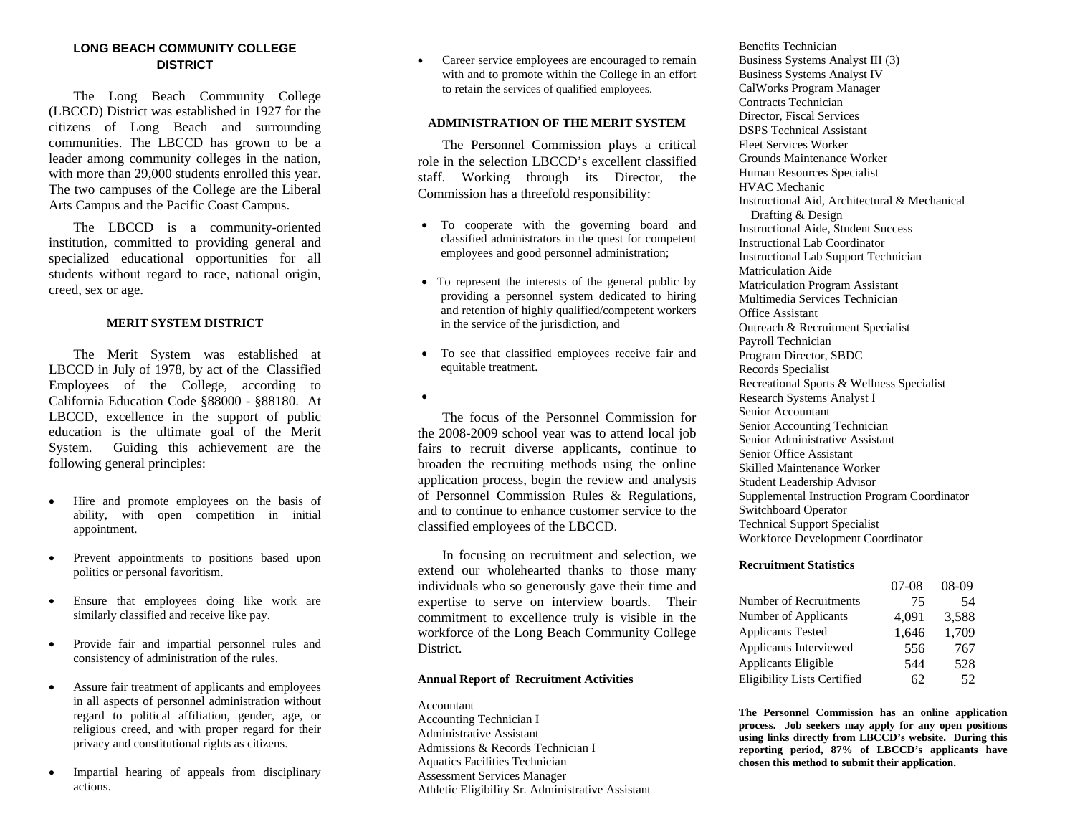# **LONG BEACH COMMUNITY COLLEGE DISTRICT**

 The Long Beach Community College (LBCCD) District was established in 1927 for the citizens of Long Beach and surrounding communities. The LBCCD has grown to be a leader among community colleges in the nation, with more than 29,000 students enrolled this year. The two campuses of the College are the Liberal Arts Campus and the Pacific Coast Campus.

 The LBCCD is a community-oriented institution, committed to providing general and specialized educational opportunities for all students without regard to race, national origin, creed, sex or age.

# **MERIT SYSTEM DISTRICT**

 The Merit System was established at LBCCD in July of 1978, by act of the Classified Employees of the College, according to California Education Code §88000 - §88180. At LBCCD, excellence in the support of public education is the ultimate goal of the Merit System. Guiding this achievement are the following general principles:

- • Hire and promote employees on the basis of ability, with open competition in initial appointment.
- • Prevent appointments to positions based upon politics or personal favoritism.
- • Ensure that employees doing like work are similarly classified and receive like pay.
- • Provide fair and impartial personnel rules and consistency of administration of the rules.
- • Assure fair treatment of applicants and employees in all aspects of personnel administration without regard to political affiliation, gender, age, or religious creed, and with proper regard for their privacy and constitutional rights as citizens.
- • Impartial hearing of appeals from disciplinary actions.

• Career service employees are encouraged to remain with and to promote within the College in an effort to retain the services of qualified employees.

## **ADMINISTRATION OF THE MERIT SYSTEM**

 The Personnel Commission plays a critical role in the selection LBCCD's excellent classified staff. Working through its Director, the Commission has a threefold responsibility:

- To cooperate with the governing board and classified administrators in the quest for competent employees and good personnel administration;
- To represent the interests of the general public by providing a personnel system dedicated to hiring and retention of highly qualified/competent workers in the service of the jurisdiction, and
- To see that classified employees receive fair and equitable treatment.
- •

 The focus of the Personnel Commission for the 2008-2009 school year was to attend local job fairs to recruit diverse applicants, continue to broaden the recruiting methods using the online application process, begin the review and analysis of Personnel Commission Rules & Regulations, and to continue to enhance customer service to the classified employees of the LBCCD.

 In focusing on recruitment and selection, we extend our wholehearted thanks to those many individuals who so generously gave their time and expertise to serve on interview boards. Their commitment to excellence truly is visible in the workforce of the Long Beach Community College District.

#### **Annual Report of Recruitment Activities**

## Accountant Accounting Technician I Administrative Assistant Admissions & Records Technician I Aquatics Facilities Technician Assessment Services Manager Athletic Eligibility Sr. Administrative Assistant

Benefits Technician Business Systems Analyst III (3) Business Systems Analyst IV CalWorks Program Manager Contracts Technician Director, Fiscal Services DSPS Technical Assistant Fleet Services Worker Grounds Maintenance Worker Human Resources Specialist HVAC Mechanic Instructional Aid, Architectural & Mechanical Drafting & Design Instructional Aide, Student Success Instructional Lab Coordinator Instructional Lab Support Technician Matriculation Aide Matriculation Program Assistant Multimedia Services Technician Office Assistant Outreach & Recruitment Specialist Payroll Technician Program Director, SBDC Records Specialist Recreational Sports & Wellness Specialist Research Systems Analyst I Senior Accountant Senior Accounting Technician Senior Administrative Assistant Senior Office Assistant Skilled Maintenance Worker Student Leadership Advisor Supplemental Instruction Program Coordinator Switchboard Operator Technical Support Specialist Workforce Development Coordinator

#### **Recruitment Statistics**

|                                    | 07-08 | 08-09 |
|------------------------------------|-------|-------|
| Number of Recruitments             | 75    | 54    |
| Number of Applicants               | 4.091 | 3.588 |
| <b>Applicants Tested</b>           | 1.646 | 1,709 |
| Applicants Interviewed             | 556   | 767   |
| Applicants Eligible                | 544   | 528   |
| <b>Eligibility Lists Certified</b> | 62    | 52    |

**The Personnel Commission has an online application process. Job seekers may apply for any open positions using links directly from LBCCD's website. During this reporting period, 87% of LBCCD's applicants have chosen this method to submit their application.**